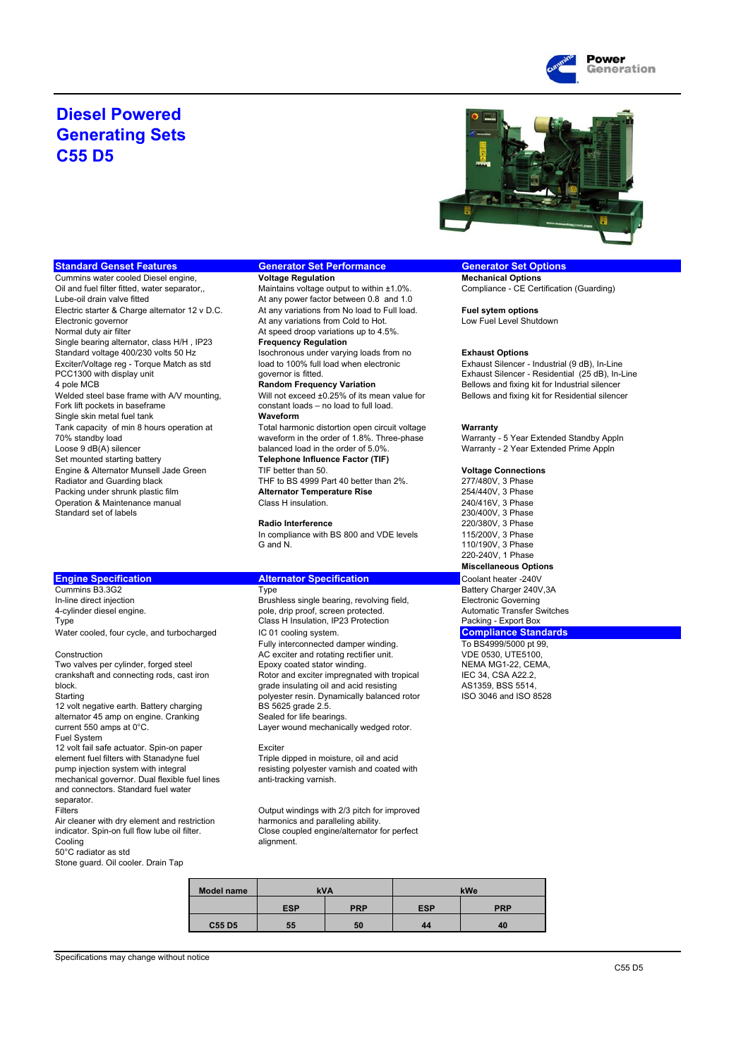

## **Diesel Powered Generating Sets C55 D5**



### **Standard Genset Features Generator Set Performance Generator Set Options**

Cummins water cooled Diesel engine, **Voltage Regulation Mechanical Options** Mechanical Options Oil and fuel filter fitted, water separator,, Maintains voltage output to within ±1.0%. Compliance - CE Certification (Guarding)<br>
Lube-oil drain valve fitted to the data any power factor between 0.8 and 1.0 Electric starter & Charge alternator 12 v D.C. At any variations from No load to Full load. **Fuel sytem options**<br>Electronic governor<br>Low Fuel Level Shutdown Normal duty air filter **At speed droop variations up to 4.5%**<br>
Single bearing alternator, class H/H, IP23 **Frequency Regulation** Single bearing alternator, class H/H, IP23<br>Standard voltage 400/230 volts 50 Hz Standard voltage 400/230 volts 50 Hz<br>
Exhaust Options<br>
Exhaust Silencer - Torque Match as std 
Ioad to 100% full load when electronic

Exhaust Silencer -Exciter/Voltage reg - Torque Match as std load to 100% full load when electronic Exhaust Silencer - Industrial (9 dB), In-Line<br>PCC1300 with display unit governor is fitted. Exhaust Silencer - Residential (25 dB), In-Line 4 pole MCB **Random Frequency Variation**<br>Welded steel base frame with A/V mounting, Will not exceed ±0.25% of its mean value for Bellows and fixing kit for Residential silencer Welded steel base frame with A/V mounting, Will not exceed ±0.25% of its mean value for Bellows and fixing kit for Residential silencer<br>Fork lift pockets in baseframe constant loads - no load to full load. Single skin metal fuel tank<br>Tank capacity of min 8 hours operation at **Waveform** 70% standby load waveform in the order of 1.8%. Three-phase Warranty - 5 Year Extended Standby Appln<br>Loose 9 dB(A) silencer extended Prime Appln Loose 9 dB(A) silencer content that the order of 5.0%. Warranty - 2 Year Extended Prime Appln<br>Set mounted starting battery **Telephone Influence Factor (TIF)** Warranty - 2 Year Extended Prime Appln Engine & Alternator Munsell Jade Green TIF better than 50. **Voltage Connections** Radiator and Guarding black THF to BS 4999 Part 40 better than 2%. 277/480V, 3 Phase<br>Packing under shrupk plastic film **Alternator Temperature Rise** 254/440V, 3 Phase Packing under shrunk plastic film Operation & Maintenance manual Class H insulation. <br>
Class H insulation. 240/416V, 3 Phase<br>
230/400V, 3 Phase Standard set of labels

Cummins B3.3G2 Type Type Type Type Battery Charger 240V,3A<br>In-line direct injection Coverning Brushless single bearing, revolving field. Electronic Governing In-line direct injection and the state of the Brushless single bearing, revolving field, and Electronic Governing<br>1-cylinder diesel engine. The state of the proof, screen protected. Automatic Transfer Switches 4-cylinder diesel engine.<br>
4-cylinder diesel engine.<br>
Type **Packing - Export Box**<br>
Class H Insulation, IP23 Protection **Packing - Export Box** 

12 volt negative earth. Battery charging

alternator 45 amp on engine. Cranking Sealed for life bearings current 550 amps at 0°C. Fuel System

12 volt fail safe actuator. Spin-on paper Exciter element fuel filters with Stanadyne fuel Triple dipped in moisture, oil and acid<br>
ness pump injection system with integral<br>
pump injection system with integral mechanical governor. Dual flexible fuel lines and connectors. Standard fuel water

separator.<br>Filters

Air cleaner with dry element and restriction indicator. Spin-on full flow lube oil filter. Cooling alignment. 50°C radiator as std

Stone guard. Oil cooler. Drain Tap

At any power factor between 0.8 and 1.0<br>At any variations from No load to Full load.

At any variations from Cold to Hot.  $constant$  loads – no load to full load. Total harmonic distortion open circuit voltage **Warranty**<br>waveform in the order of 1.8%. Three-phase Warranty **Telephone Influence Factor (TIF)** 

In compliance with BS 800 and VDE levels 115/200V, 3 Phase G and N. 110/190V, 3 Phase

The Class H Insulation, IP23 Protection<br>
IC 01 cooling system.<br>
Compliance Standards Water cooled, four cycle, and turbocharged **IC 01** cooling system.<br>Fully interconnected damper winding. To BS4999/5000 pt 99, Fully interconnected damper winding. Construction **AC** exciter and rotating rectifier unit. VDE 0530, UTE5100, Two valves per cylinder, forged steel Epoxy coated stator winding. NEMA MG1-22, CEMA, crankshaft and connecting rods, cast iron Rotor and exciter impregnated with tropical IEC 34, CSA A22.2, Rotor and exciter impregnated with tropical IEC 34, CSA A22.2,<br>
grade insulating oil and acid resisting AS1359, BSS 5514. block. grade insulating oil and acid resisting AS1359, BSS 5514, Starting<br>
Starting polyester resin. Dynamically balanced rotor<br>
BS 5625 grade 2.5. Layer wound mechanically wedged rotor.

resisting polyester varnish and coated with anti-tracking varnish.

Output windings with 2/3 pitch for improved<br>harmonics and paralleling ability. Close coupled engine/alternator for perfect

| <b>Model name</b> | <b>kVA</b> |            | kWe        |            |  |
|-------------------|------------|------------|------------|------------|--|
|                   | <b>ESP</b> | <b>PRP</b> | <b>ESP</b> | <b>PRP</b> |  |
| <b>C55 D5</b>     | 55         | 50         | 44         | 40         |  |

Specifications may change without notice

### C55 D5

PCC1300 with display unit example and the governor is fitted.<br>
4 pole MCB and the match of the Random Frequency Variation<br>
4 pole MCB and fixing kit for Industrial silencer

**Radio Interference** 220/380V, 3 Phase 220-240V, 1 Phase **Miscellaneous Options**

**Engine Specification Alternator Specification Coolant heater -240V<br>Cummins B3.3G2 Battery Charger 240V**